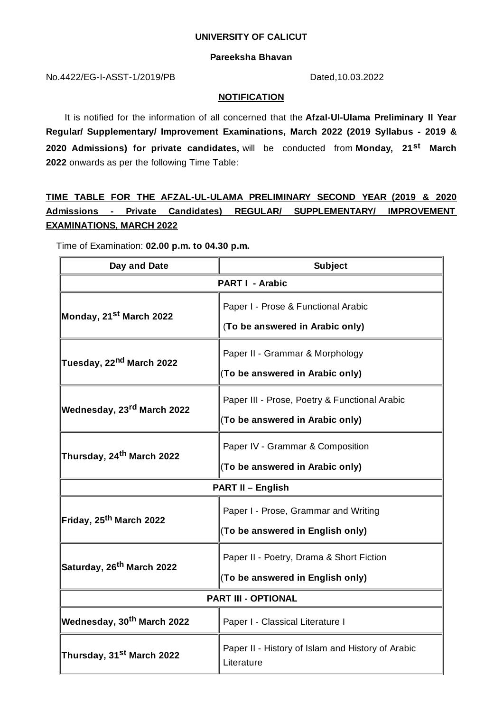#### **UNIVERSITY OF CALICUT**

### **Pareeksha Bhavan**

No.4422/EG-I-ASST-1/2019/PB Dated,10.03.2022

### **NOTIFICATION**

It is notified for the information of all concerned that the **Afzal-Ul-Ulama Preliminary II Year Regular/ Supplementary/ Improvement Examinations, March 2022 (2019 Syllabus - 2019 & 2020 Admissions) for private candidates,** will be conducted from **Monday, 21 st March 2022** onwards as per the following Time Table:

# **TIME TABLE FOR THE AFZAL-UL-ULAMA PRELIMINARY SECOND YEAR (2019 & 2020 Admissions - Private Candidates) REGULAR/ SUPPLEMENTARY/ IMPROVEMENT EXAMINATIONS, MARCH 2022**

Time of Examination: **02.00 p.m. to 04.30 p.m.**

| Day and Date                                 | <b>Subject</b>                                                  |
|----------------------------------------------|-----------------------------------------------------------------|
| <b>PART I - Arabic</b>                       |                                                                 |
| Monday, 21 <sup>st</sup> March 2022          | Paper I - Prose & Functional Arabic                             |
|                                              | (To be answered in Arabic only)                                 |
| <b>Tuesday, 22<sup>nd</sup> March 2022</b>   | Paper II - Grammar & Morphology                                 |
|                                              | (To be answered in Arabic only)                                 |
| <b>Wednesday, 23<sup>rd</sup> March 2022</b> | Paper III - Prose, Poetry & Functional Arabic                   |
|                                              | (To be answered in Arabic only)                                 |
| Thursday, 24 <sup>th</sup> March 2022        | Paper IV - Grammar & Composition                                |
|                                              | (To be answered in Arabic only)                                 |
| <b>PART II - English</b>                     |                                                                 |
| Friday, 25 <sup>th</sup> March 2022          | Paper I - Prose, Grammar and Writing                            |
|                                              | (To be answered in English only)                                |
| Saturday, 26 <sup>th</sup> March 2022        | Paper II - Poetry, Drama & Short Fiction                        |
|                                              | (To be answered in English only)                                |
| <b>PART III - OPTIONAL</b>                   |                                                                 |
| <b>Wednesday, 30<sup>th</sup> March 2022</b> | Paper I - Classical Literature I                                |
| Thursday, 31 <sup>st</sup> March 2022        | Paper II - History of Islam and History of Arabic<br>Literature |